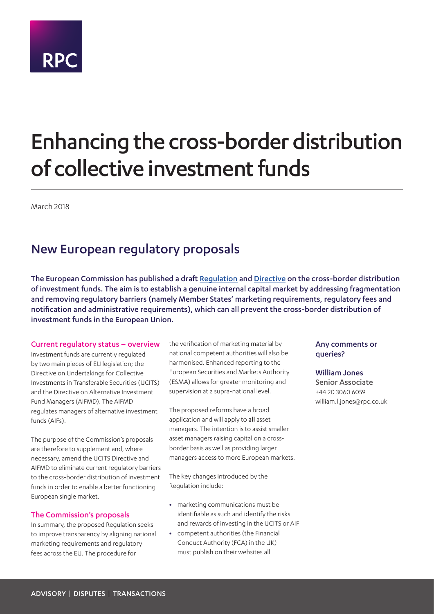

# Enhancing the cross-border distribution of collective investment funds

March 2018

## New European regulatory proposals

The European Commission has published a draft [Regulation](http://ec.europa.eu/transparency/regdoc/rep/1/2018/EN/COM-2018-110-F1-EN-MAIN-PART-1.PDF) and [Directive](http://ec.europa.eu/transparency/regdoc/rep/1/2018/EN/COM-2018-92-F1-EN-MAIN-PART-1.PDF) on the cross-border distribution of investment funds. The aim is to establish a genuine internal capital market by addressing fragmentation and removing regulatory barriers (namely Member States' marketing requirements, regulatory fees and notification and administrative requirements), which can all prevent the cross-border distribution of investment funds in the European Union.

#### Current regulatory status – overview

Investment funds are currently regulated by two main pieces of EU legislation; the Directive on Undertakings for Collective Investments in Transferable Securities (UCITS) and the Directive on Alternative Investment Fund Managers (AIFMD). The AIFMD regulates managers of alternative investment funds (AIFs).

The purpose of the Commission's proposals are therefore to supplement and, where necessary, amend the UCITS Directive and AIFMD to eliminate current regulatory barriers to the cross-border distribution of investment funds in order to enable a better functioning European single market.

#### The Commission's proposals

In summary, the proposed Regulation seeks to improve transparency by aligning national marketing requirements and regulatory fees across the EU. The procedure for

the verification of marketing material by national competent authorities will also be harmonised. Enhanced reporting to the European Securities and Markets Authority (ESMA) allows for greater monitoring and supervision at a supra-national level.

The proposed reforms have a broad application and will apply to all asset managers. The intention is to assist smaller asset managers raising capital on a crossborder basis as well as providing larger managers access to more European markets.

The key changes introduced by the Regulation include:

- **•** marketing communications must be identifiable as such and identify the risks and rewards of investing in the UCITS or AIF
- **•** competent authorities (the Financial Conduct Authority (FCA) in the UK) must publish on their websites all

### Any comments or queries?

#### William Jones

Senior Associate +44 20 3060 6059 william.l.jones@rpc.co.uk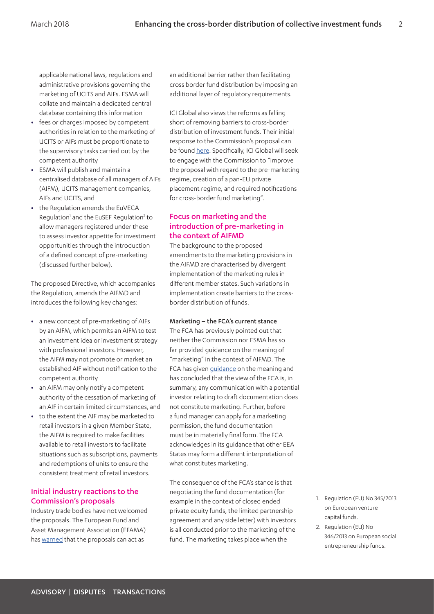applicable national laws, regulations and administrative provisions governing the marketing of UCITS and AIFs. ESMA will collate and maintain a dedicated central database containing this information

- **•** fees or charges imposed by competent authorities in relation to the marketing of UCITS or AIFs must be proportionate to the supervisory tasks carried out by the competent authority
- **•** ESMA will publish and maintain a centralised database of all managers of AIFs (AIFM), UCITS management companies, AIFs and UCITS, and
- **•** the Regulation amends the EuVECA Regulation<sup>[1](#page-1-0)</sup> and the EuSEF Regulation<sup>[2](#page-1-1)</sup> to allow managers registered under these to assess investor appetite for investment opportunities through the introduction of a defined concept of pre-marketing (discussed further below).

The proposed Directive, which accompanies the Regulation, amends the AIFMD and introduces the following key changes:

- **•** a new concept of pre-marketing of AIFs by an AIFM, which permits an AIFM to test an investment idea or investment strategy with professional investors. However, the AIFM may not promote or market an established AIF without notification to the competent authority
- **•** an AIFM may only notify a competent authority of the cessation of marketing of an AIF in certain limited circumstances, and
- **•** to the extent the AIF may be marketed to retail investors in a given Member State, the AIFM is required to make facilities available to retail investors to facilitate situations such as subscriptions, payments and redemptions of units to ensure the consistent treatment of retail investors.

#### Initial industry reactions to the Commission's proposals

Industry trade bodies have not welcomed the proposals. The European Fund and Asset Management Association (EFAMA) has [warned](http://www.efama.org/Pages/Submitted%20after%202018-03-12T16%2022%2007/EFAMA-warns-a-legislative-proposal-can-be-additional-barrier-to-cross-border-fund-distribution.aspx) that the proposals can act as

an additional barrier rather than facilitating cross border fund distribution by imposing an additional layer of regulatory requirements.

ICI Global also views the reforms as falling short of removing barriers to cross-border distribution of investment funds. Their initial response to the Commission's proposal can be found [here](https://www.iciglobal.org/iciglobal/news/news/ci.18_news_icig_ec_crossborder.global). Specifically, ICI Global will seek to engage with the Commission to "improve the proposal with regard to the pre-marketing regime, creation of a pan-EU private placement regime, and required notifications for cross-border fund marketing".

### Focus on marketing and the introduction of pre-marketing in the context of AIFMD

The background to the proposed amendments to the marketing provisions in the AIFMD are characterised by divergent implementation of the marketing rules in different member states. Such variations in implementation create barriers to the crossborder distribution of funds.

#### Marketing – the FCA's current stance

The FCA has previously pointed out that neither the Commission nor ESMA has so far provided guidance on the meaning of "marketing" in the context of AIFMD. The FCA has given [guidance](https://www.handbook.fca.org.uk/handbook/PERG/8/37.html) on the meaning and has concluded that the view of the FCA is, in summary, any communication with a potential investor relating to draft documentation does not constitute marketing. Further, before a fund manager can apply for a marketing permission, the fund documentation must be in materially final form. The FCA acknowledges in its guidance that other EEA States may form a different interpretation of what constitutes marketing.

The consequence of the FCA's stance is that negotiating the fund documentation (for example in the context of closed ended private equity funds, the limited partnership agreement and any side letter) with investors is all conducted prior to the marketing of the fund. The marketing takes place when the

- <span id="page-1-0"></span>1. Regulation (EU) No 345/2013 on European venture capital funds.
- <span id="page-1-1"></span>2. Regulation (EU) No 346/2013 on European social entrepreneurship funds.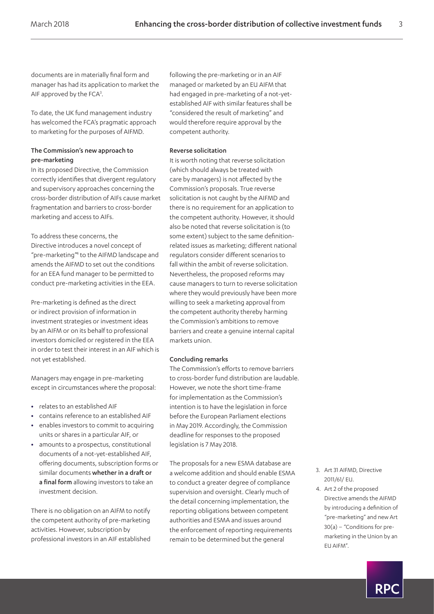documents are in materially final form and manager has had its application to market the AIF approved by the  $FCA<sup>3</sup>$ .

To date, the UK fund management industry has welcomed the FCA's pragmatic approach to marketing for the purposes of AIFMD.

#### The Commission's new approach to pre-marketing

In its proposed Directive, the Commission correctly identifies that divergent regulatory and supervisory approaches concerning the cross-border distribution of AIFs cause market fragmentation and barriers to cross-border marketing and access to AIFs.

To address these concerns, the Directive introduces a novel concept of "pre-marketing["4](#page-2-1) to the AIFMD landscape and amends the AIFMD to set out the conditions for an EEA fund manager to be permitted to conduct pre-marketing activities in the EEA.

Pre-marketing is defined as the direct or indirect provision of information in investment strategies or investment ideas by an AIFM or on its behalf to professional investors domiciled or registered in the EEA in order to test their interest in an AIF which is not yet established.

Managers may engage in pre-marketing except in circumstances where the proposal:

- **•** relates to an established AIF
- **•** contains reference to an established AIF
- **•** enables investors to commit to acquiring units or shares in a particular AIF, or
- **•** amounts to a prospectus, constitutional documents of a not-yet-established AIF, offering documents, subscription forms or similar documents whether in a draft or a final form allowing investors to take an investment decision.

There is no obligation on an AIFM to notify the competent authority of pre-marketing activities. However, subscription by professional investors in an AIF established following the pre-marketing or in an AIF managed or marketed by an EU AIFM that had engaged in pre-marketing of a not-yetestablished AIF with similar features shall be "considered the result of marketing" and would therefore require approval by the competent authority.

#### Reverse solicitation

It is worth noting that reverse solicitation (which should always be treated with care by managers) is not affected by the Commission's proposals. True reverse solicitation is not caught by the AIFMD and there is no requirement for an application to the competent authority. However, it should also be noted that reverse solicitation is (to some extent) subject to the same definitionrelated issues as marketing; different national regulators consider different scenarios to fall within the ambit of reverse solicitation. Nevertheless, the proposed reforms may cause managers to turn to reverse solicitation where they would previously have been more willing to seek a marketing approval from the competent authority thereby harming the Commission's ambitions to remove barriers and create a genuine internal capital markets union.

#### Concluding remarks

The Commission's efforts to remove barriers to cross-border fund distribution are laudable. However, we note the short time-frame for implementation as the Commission's intention is to have the legislation in force before the European Parliament elections in May 2019. Accordingly, the Commission deadline for responses to the proposed legislation is 7 May 2018.

The proposals for a new ESMA database are a welcome addition and should enable ESMA to conduct a greater degree of compliance supervision and oversight. Clearly much of the detail concerning implementation, the reporting obligations between competent authorities and ESMA and issues around the enforcement of reporting requirements remain to be determined but the general

- <span id="page-2-0"></span>3. Art 31 AIFMD, Directive 2011/61/ EU.
- <span id="page-2-1"></span>4. Art 2 of the proposed Directive amends the AIFMD by introducing a definition of "pre-marketing" and new Art 30(a) – "Conditions for premarketing in the Union by an EU AIFM".

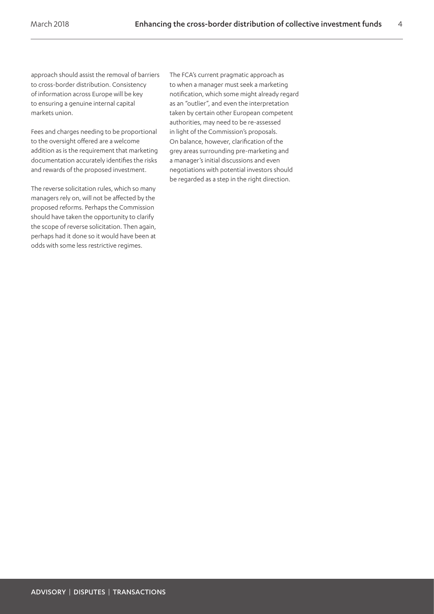approach should assist the removal of barriers to cross-border distribution. Consistency of information across Europe will be key to ensuring a genuine internal capital markets union.

Fees and charges needing to be proportional to the oversight offered are a welcome addition as is the requirement that marketing documentation accurately identifies the risks and rewards of the proposed investment.

The reverse solicitation rules, which so many managers rely on, will not be affected by the proposed reforms. Perhaps the Commission should have taken the opportunity to clarify the scope of reverse solicitation. Then again, perhaps had it done so it would have been at odds with some less restrictive regimes.

The FCA's current pragmatic approach as to when a manager must seek a marketing notification, which some might already regard as an "outlier", and even the interpretation taken by certain other European competent authorities, may need to be re-assessed in light of the Commission's proposals. On balance, however, clarification of the grey areas surrounding pre-marketing and a manager's initial discussions and even negotiations with potential investors should be regarded as a step in the right direction.